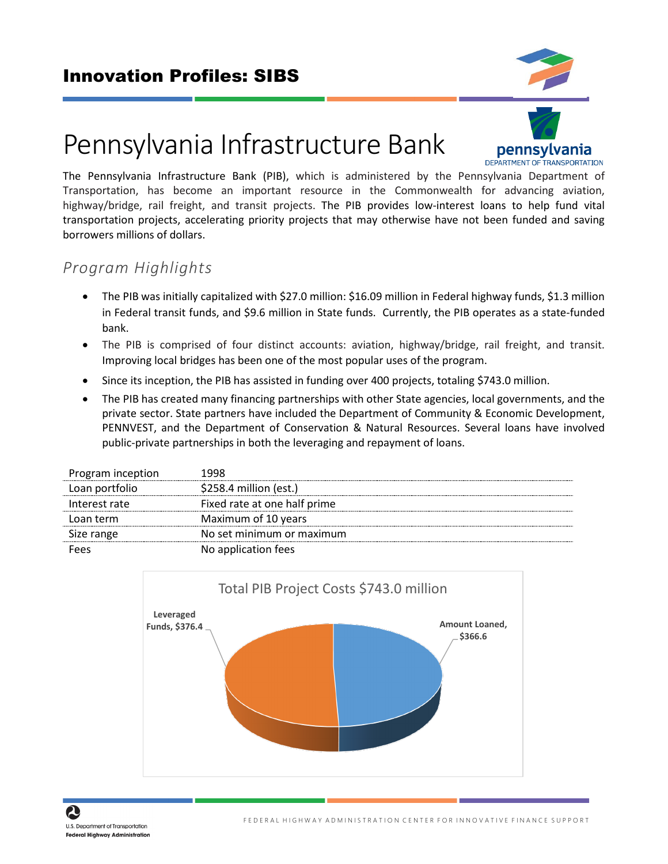

# Pennsylvania Infrastructure Bank The Pennsylvania Infrastructure Bank (PIB), which is administered by the Pennsylvania Department of

Transportation, has become an important resource in the Commonwealth for advancing aviation, highway/bridge, rail freight, and transit projects. The PIB provides low-interest loans to help fund vital transportation projects, accelerating priority projects that may otherwise have not been funded and saving borrowers millions of dollars.

# *Program Highlights*

- The PIB was initially capitalized with \$27.0 million: \$16.09 million in Federal highway funds, \$1.3 million in Federal transit funds, and \$9.6 million in State funds. Currently, the PIB operates as a state-funded bank.
- The PIB is comprised of four distinct accounts: aviation, highway/bridge, rail freight, and transit. Improving local bridges has been one of the most popular uses of the program.
- Since its inception, the PIB has assisted in funding over 400 projects, totaling \$743.0 million.
- The PIB has created many financing partnerships with other State agencies, local governments, and the private sector. State partners have included the Department of Community & Economic Development, PENNVEST, and the Department of Conservation & Natural Resources. Several loans have involved public-private partnerships in both the leveraging and repayment of loans.

| Program inception | 1998                         |
|-------------------|------------------------------|
| Loan portfolio    | \$258.4 million (est.)       |
| Interest rate     | Fixed rate at one half prime |
| Loan term         | Maximum of 10 years          |
| Size range        | No set minimum or maximum    |
| Fees              | No application fees          |